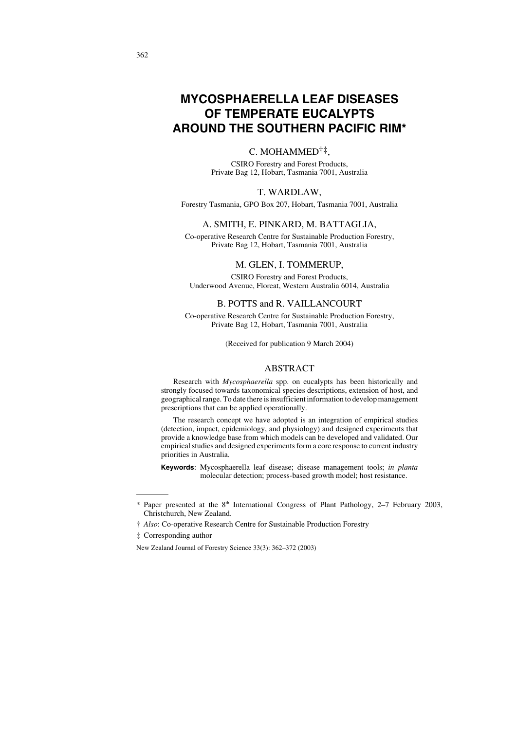# **MYCOSPHAERELLA LEAF DISEASES OF TEMPERATE EUCALYPTS AROUND THE SOUTHERN PACIFIC RIM\***

# C. MOHAMMED†‡,

CSIRO Forestry and Forest Products, Private Bag 12, Hobart, Tasmania 7001, Australia

# T. WARDLAW,

Forestry Tasmania, GPO Box 207, Hobart, Tasmania 7001, Australia

## A. SMITH, E. PINKARD, M. BATTAGLIA,

Co-operative Research Centre for Sustainable Production Forestry, Private Bag 12, Hobart, Tasmania 7001, Australia

#### M. GLEN, I. TOMMERUP,

CSIRO Forestry and Forest Products, Underwood Avenue, Floreat, Western Australia 6014, Australia

#### B. POTTS and R. VAILLANCOURT

Co-operative Research Centre for Sustainable Production Forestry, Private Bag 12, Hobart, Tasmania 7001, Australia

(Received for publication 9 March 2004)

## ABSTRACT

Research with *Mycosphaerella* spp. on eucalypts has been historically and strongly focused towards taxonomical species descriptions, extension of host, and geographical range. To date there is insufficient information to develop management prescriptions that can be applied operationally.

The research concept we have adopted is an integration of empirical studies (detection, impact, epidemiology, and physiology) and designed experiments that provide a knowledge base from which models can be developed and validated. Our empirical studies and designed experiments form a core response to current industry priorities in Australia.

**Keywords**: Mycosphaerella leaf disease; disease management tools; *in planta* molecular detection; process-based growth model; host resistance.

<sup>\*</sup> Paper presented at the 8th International Congress of Plant Pathology, 2–7 February 2003, Christchurch, New Zealand.

<sup>†</sup> *Also*: Co-operative Research Centre for Sustainable Production Forestry

<sup>‡</sup> Corresponding author

New Zealand Journal of Forestry Science 33(3): 362–372 (2003)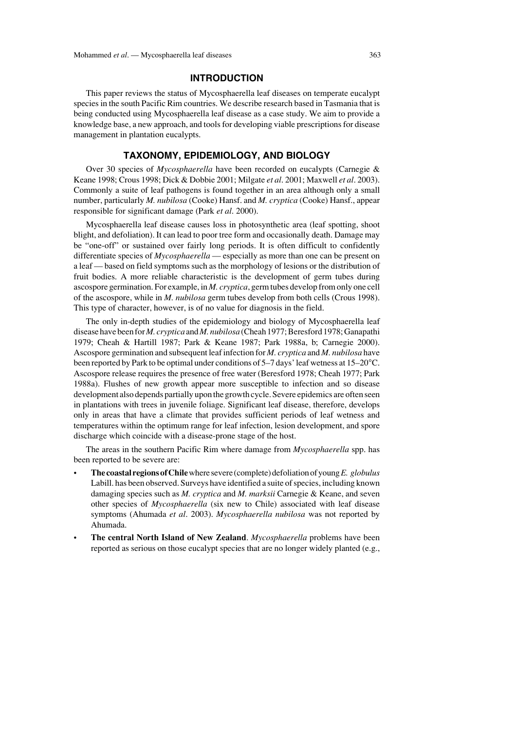#### **INTRODUCTION**

This paper reviews the status of Mycosphaerella leaf diseases on temperate eucalypt species in the south Pacific Rim countries. We describe research based in Tasmania that is being conducted using Mycosphaerella leaf disease as a case study. We aim to provide a knowledge base, a new approach, and tools for developing viable prescriptions for disease management in plantation eucalypts.

# **TAXONOMY, EPIDEMIOLOGY, AND BIOLOGY**

Over 30 species of *Mycosphaerella* have been recorded on eucalypts (Carnegie & Keane 1998; Crous 1998; Dick & Dobbie 2001; Milgate *et al*. 2001; Maxwell *et al*. 2003). Commonly a suite of leaf pathogens is found together in an area although only a small number, particularly *M. nubilosa* (Cooke) Hansf. and *M. cryptica* (Cooke) Hansf., appear responsible for significant damage (Park *et al*. 2000).

Mycosphaerella leaf disease causes loss in photosynthetic area (leaf spotting, shoot blight, and defoliation). It can lead to poor tree form and occasionally death. Damage may be "one-off" or sustained over fairly long periods. It is often difficult to confidently differentiate species of *Mycosphaerella* — especially as more than one can be present on a leaf — based on field symptoms such as the morphology of lesions or the distribution of fruit bodies. A more reliable characteristic is the development of germ tubes during ascospore germination. For example, in *M. cryptica*, germ tubes develop from only one cell of the ascospore, while in *M. nubilosa* germ tubes develop from both cells (Crous 1998). This type of character, however, is of no value for diagnosis in the field.

The only in-depth studies of the epidemiology and biology of Mycosphaerella leaf disease have been for *M. cryptica*and *M. nubilosa*(Cheah 1977; Beresford 1978; Ganapathi 1979; Cheah & Hartill 1987; Park & Keane 1987; Park 1988a, b; Carnegie 2000). Ascospore germination and subsequent leaf infection for *M. cryptica* and *M. nubilosa* have been reported by Park to be optimal under conditions of 5–7 days' leaf wetness at 15–20°C. Ascospore release requires the presence of free water (Beresford 1978; Cheah 1977; Park 1988a). Flushes of new growth appear more susceptible to infection and so disease development also depends partially upon the growth cycle. Severe epidemics are often seen in plantations with trees in juvenile foliage. Significant leaf disease, therefore, develops only in areas that have a climate that provides sufficient periods of leaf wetness and temperatures within the optimum range for leaf infection, lesion development, and spore discharge which coincide with a disease-prone stage of the host.

The areas in the southern Pacific Rim where damage from *Mycosphaerella* spp. has been reported to be severe are:

- **The coastal regions of Chile**where severe (complete) defoliation of young *E. globulus* Labill. has been observed. Surveys have identified a suite of species, including known damaging species such as *M. cryptica* and *M. marksii* Carnegie & Keane, and seven other species of *Mycosphaerella* (six new to Chile) associated with leaf disease symptoms (Ahumada *et al*. 2003). *Mycosphaerella nubilosa* was not reported by Ahumada.
- **The central North Island of New Zealand**. *Mycosphaerella* problems have been reported as serious on those eucalypt species that are no longer widely planted (e.g.,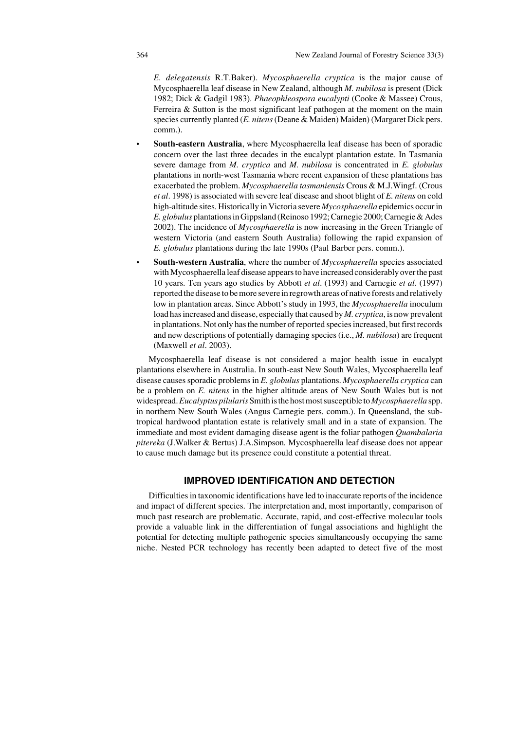*E. delegatensis* R.T.Baker). *Mycosphaerella cryptica* is the major cause of Mycosphaerella leaf disease in New Zealand, although *M. nubilosa* is present (Dick 1982; Dick & Gadgil 1983). *Phaeophleospora eucalypti* (Cooke & Massee) Crous, Ferreira & Sutton is the most significant leaf pathogen at the moment on the main species currently planted (*E. nitens*(Deane & Maiden) Maiden) (Margaret Dick pers. comm.).

- **South-eastern Australia**, where Mycosphaerella leaf disease has been of sporadic concern over the last three decades in the eucalypt plantation estate. In Tasmania severe damage from *M. cryptica* and *M. nubilosa* is concentrated in *E. globulus* plantations in north-west Tasmania where recent expansion of these plantations has exacerbated the problem. *Mycosphaerella tasmaniensis* Crous & M.J.Wingf. (Crous *et al*. 1998) is associated with severe leaf disease and shoot blight of *E. nitens* on cold high-altitude sites. Historically in Victoria severe *Mycosphaerella* epidemics occur in *E. globulus* plantations in Gippsland (Reinoso 1992; Carnegie 2000; Carnegie & Ades 2002). The incidence of *Mycosphaerella* is now increasing in the Green Triangle of western Victoria (and eastern South Australia) following the rapid expansion of *E. globulus* plantations during the late 1990s (Paul Barber pers. comm.).
- **South-western Australia**, where the number of *Mycosphaerella* species associated with Mycosphaerella leaf disease appears to have increased considerably over the past 10 years. Ten years ago studies by Abbott *et al*. (1993) and Carnegie *et al*. (1997) reported the disease to be more severe in regrowth areas of native forests and relatively low in plantation areas. Since Abbott's study in 1993, the *Mycosphaerella* inoculum load has increased and disease, especially that caused by *M. cryptica*, is now prevalent in plantations. Not only has the number of reported species increased, but first records and new descriptions of potentially damaging species (i.e., *M. nubilosa*) are frequent (Maxwell *et al*. 2003).

Mycosphaerella leaf disease is not considered a major health issue in eucalypt plantations elsewhere in Australia. In south-east New South Wales, Mycosphaerella leaf disease causes sporadic problems in *E. globulus* plantations. *Mycosphaerella cryptica* can be a problem on *E. nitens* in the higher altitude areas of New South Wales but is not widespread. *Eucalyptus pilularis*Smith is the host most susceptible to *Mycosphaerella* spp. in northern New South Wales (Angus Carnegie pers. comm.). In Queensland, the subtropical hardwood plantation estate is relatively small and in a state of expansion. The immediate and most evident damaging disease agent is the foliar pathogen *Quambalaria pitereka* (J.Walker & Bertus) J.A.Simpson*.* Mycosphaerella leaf disease does not appear to cause much damage but its presence could constitute a potential threat.

# **IMPROVED IDENTIFICATION AND DETECTION**

Difficulties in taxonomic identifications have led to inaccurate reports of the incidence and impact of different species. The interpretation and, most importantly, comparison of much past research are problematic. Accurate, rapid, and cost-effective molecular tools provide a valuable link in the differentiation of fungal associations and highlight the potential for detecting multiple pathogenic species simultaneously occupying the same niche. Nested PCR technology has recently been adapted to detect five of the most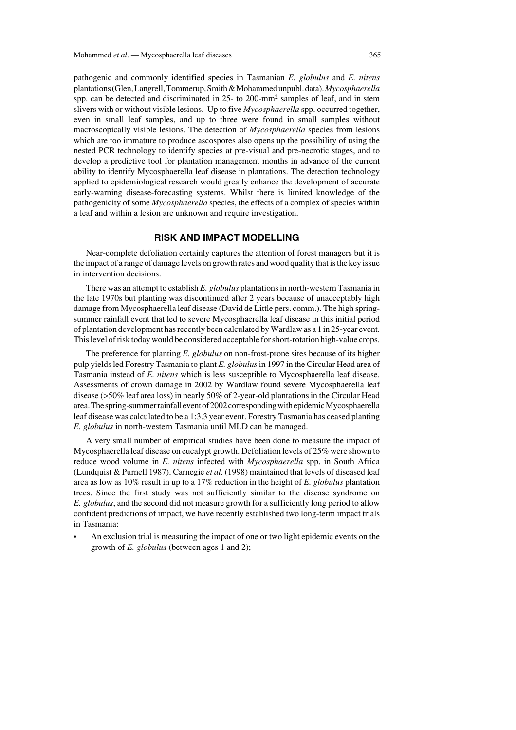pathogenic and commonly identified species in Tasmanian *E. globulus* and *E. nitens* plantations (Glen, Langrell, Tommerup, Smith & Mohammed unpubl. data). *Mycosphaerella* spp. can be detected and discriminated in 25- to 200-mm2 samples of leaf, and in stem slivers with or without visible lesions. Up to five *Mycosphaerella* spp. occurred together, even in small leaf samples, and up to three were found in small samples without macroscopically visible lesions. The detection of *Mycosphaerella* species from lesions which are too immature to produce ascospores also opens up the possibility of using the nested PCR technology to identify species at pre-visual and pre-necrotic stages, and to develop a predictive tool for plantation management months in advance of the current ability to identify Mycosphaerella leaf disease in plantations. The detection technology applied to epidemiological research would greatly enhance the development of accurate early-warning disease-forecasting systems. Whilst there is limited knowledge of the pathogenicity of some *Mycosphaerella* species, the effects of a complex of species within a leaf and within a lesion are unknown and require investigation.

## **RISK AND IMPACT MODELLING**

Near-complete defoliation certainly captures the attention of forest managers but it is the impact of a range of damage levels on growth rates and wood quality that is the key issue in intervention decisions.

There was an attempt to establish *E. globulus* plantations in north-western Tasmania in the late 1970s but planting was discontinued after 2 years because of unacceptably high damage from Mycosphaerella leaf disease (David de Little pers. comm.). The high springsummer rainfall event that led to severe Mycosphaerella leaf disease in this initial period of plantation development has recently been calculated by Wardlaw as a 1 in 25-year event. This level of risk today would be considered acceptable for short-rotation high-value crops.

The preference for planting *E. globulus* on non-frost-prone sites because of its higher pulp yields led Forestry Tasmania to plant *E. globulus*in 1997 in the Circular Head area of Tasmania instead of *E. nitens* which is less susceptible to Mycosphaerella leaf disease. Assessments of crown damage in 2002 by Wardlaw found severe Mycosphaerella leaf disease (>50% leaf area loss) in nearly 50% of 2-year-old plantations in the Circular Head area. The spring-summer rainfall event of 2002 corresponding with epidemic Mycosphaerella leaf disease was calculated to be a 1:3.3 year event. Forestry Tasmania has ceased planting *E. globulus* in north-western Tasmania until MLD can be managed.

A very small number of empirical studies have been done to measure the impact of Mycosphaerella leaf disease on eucalypt growth. Defoliation levels of 25% were shown to reduce wood volume in *E. nitens* infected with *Mycosphaerella* spp. in South Africa (Lundquist & Purnell 1987). Carnegie *et al*. (1998) maintained that levels of diseased leaf area as low as 10% result in up to a 17% reduction in the height of *E. globulus* plantation trees. Since the first study was not sufficiently similar to the disease syndrome on *E. globulus*, and the second did not measure growth for a sufficiently long period to allow confident predictions of impact, we have recently established two long-term impact trials in Tasmania:

• An exclusion trial is measuring the impact of one or two light epidemic events on the growth of *E. globulus* (between ages 1 and 2);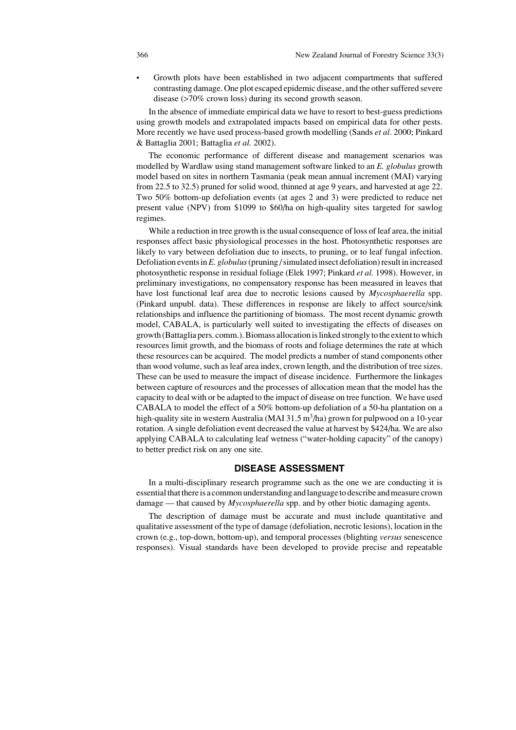• Growth plots have been established in two adjacent compartments that suffered contrasting damage. One plot escaped epidemic disease, and the other suffered severe disease (>70% crown loss) during its second growth season.

In the absence of immediate empirical data we have to resort to best-guess predictions using growth models and extrapolated impacts based on empirical data for other pests. More recently we have used process-based growth modelling (Sands *et al*. 2000; Pinkard & Battaglia 2001; Battaglia *et al.* 2002).

The economic performance of different disease and management scenarios was modelled by Wardlaw using stand management software linked to an *E. globulus* growth model based on sites in northern Tasmania (peak mean annual increment (MAI) varying from 22.5 to 32.5) pruned for solid wood, thinned at age 9 years, and harvested at age 22. Two 50% bottom-up defoliation events (at ages 2 and 3) were predicted to reduce net present value (NPV) from \$1099 to \$60/ha on high-quality sites targeted for sawlog regimes.

While a reduction in tree growth is the usual consequence of loss of leaf area, the initial responses affect basic physiological processes in the host. Photosynthetic responses are likely to vary between defoliation due to insects, to pruning, or to leaf fungal infection. Defoliation events in *E. globulus* (pruning / simulated insect defoliation) result in increased photosynthetic response in residual foliage (Elek 1997; Pinkard *et al.* 1998). However, in preliminary investigations, no compensatory response has been measured in leaves that have lost functional leaf area due to necrotic lesions caused by *Mycosphaerella* spp. (Pinkard unpubl. data). These differences in response are likely to affect source/sink relationships and influence the partitioning of biomass. The most recent dynamic growth model, CABALA, is particularly well suited to investigating the effects of diseases on growth (Battaglia pers. comm.). Biomass allocation is linked strongly to the extent to which resources limit growth, and the biomass of roots and foliage determines the rate at which these resources can be acquired. The model predicts a number of stand components other than wood volume, such as leaf area index, crown length, and the distribution of tree sizes. These can be used to measure the impact of disease incidence. Furthermore the linkages between capture of resources and the processes of allocation mean that the model has the capacity to deal with or be adapted to the impact of disease on tree function. We have used CABALA to model the effect of a 50% bottom-up defoliation of a 50-ha plantation on a high-quality site in western Australia (MAI 31.5  $\text{m}^3/\text{ha}$ ) grown for pulpwood on a 10-year rotation. A single defoliation event decreased the value at harvest by \$424/ha. We are also applying CABALA to calculating leaf wetness ("water-holding capacity" of the canopy) to better predict risk on any one site.

# **DISEASE ASSESSMENT**

In a multi-disciplinary research programme such as the one we are conducting it is essential that there is a common understanding and language to describe and measure crown damage — that caused by *Mycosphaerella* spp. and by other biotic damaging agents.

The description of damage must be accurate and must include quantitative and qualitative assessment of the type of damage (defoliation, necrotic lesions), location in the crown (e.g., top-down, bottom-up), and temporal processes (blighting *versus* senescence responses). Visual standards have been developed to provide precise and repeatable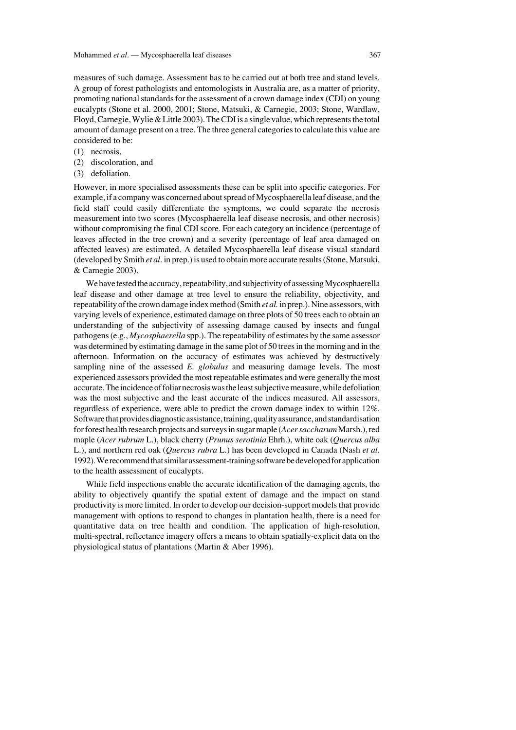measures of such damage. Assessment has to be carried out at both tree and stand levels. A group of forest pathologists and entomologists in Australia are, as a matter of priority, promoting national standards for the assessment of a crown damage index (CDI) on young eucalypts (Stone et al. 2000, 2001; Stone, Matsuki, & Carnegie, 2003; Stone, Wardlaw, Floyd, Carnegie, Wylie & Little 2003). The CDI is a single value, which represents the total amount of damage present on a tree. The three general categories to calculate this value are considered to be:

- (1) necrosis,
- (2) discoloration, and
- (3) defoliation.

However, in more specialised assessments these can be split into specific categories. For example, if a company was concerned about spread of Mycosphaerella leaf disease, and the field staff could easily differentiate the symptoms, we could separate the necrosis measurement into two scores (Mycosphaerella leaf disease necrosis, and other necrosis) without compromising the final CDI score. For each category an incidence (percentage of leaves affected in the tree crown) and a severity (percentage of leaf area damaged on affected leaves) are estimated. A detailed Mycosphaerella leaf disease visual standard (developed by Smith *et al*. in prep.) is used to obtain more accurate results (Stone, Matsuki, & Carnegie 2003).

We have tested the accuracy, repeatability, and subjectivity of assessing Mycosphaerella leaf disease and other damage at tree level to ensure the reliability, objectivity, and repeatability of the crown damage index method (Smith *et al.*in prep.). Nine assessors, with varying levels of experience, estimated damage on three plots of 50 trees each to obtain an understanding of the subjectivity of assessing damage caused by insects and fungal pathogens (e.g., *Mycosphaerella* spp.). The repeatability of estimates by the same assessor was determined by estimating damage in the same plot of 50 trees in the morning and in the afternoon. Information on the accuracy of estimates was achieved by destructively sampling nine of the assessed *E. globulus* and measuring damage levels. The most experienced assessors provided the most repeatable estimates and were generally the most accurate. The incidence of foliar necrosis was the least subjective measure, while defoliation was the most subjective and the least accurate of the indices measured. All assessors, regardless of experience, were able to predict the crown damage index to within 12%. Software that provides diagnostic assistance, training, quality assurance, and standardisation for forest health research projects and surveys in sugar maple (*Acer saccharum*Marsh.), red maple (*Acer rubrum* L.), black cherry (*Prunus serotinia* Ehrh.), white oak (*Quercus alba* L.), and northern red oak (*Quercus rubra* L.) has been developed in Canada (Nash *et al.* 1992). We recommend that similar assessment-training software be developed for application to the health assessment of eucalypts.

While field inspections enable the accurate identification of the damaging agents, the ability to objectively quantify the spatial extent of damage and the impact on stand productivity is more limited. In order to develop our decision-support models that provide management with options to respond to changes in plantation health, there is a need for quantitative data on tree health and condition. The application of high-resolution, multi-spectral, reflectance imagery offers a means to obtain spatially-explicit data on the physiological status of plantations (Martin & Aber 1996).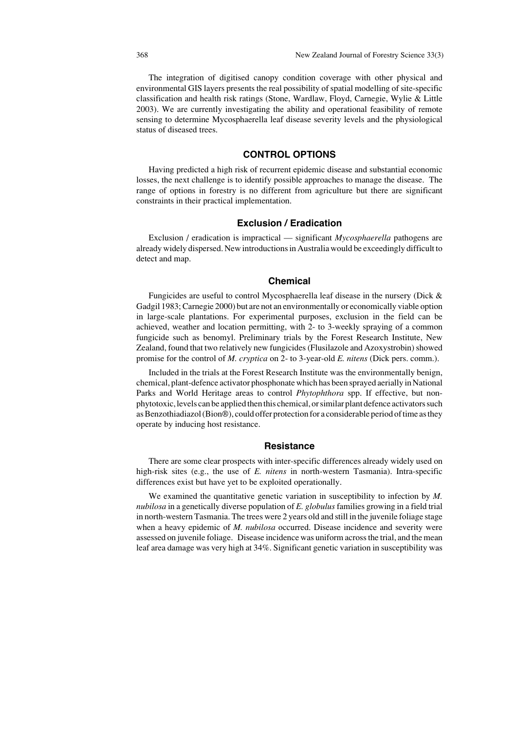The integration of digitised canopy condition coverage with other physical and environmental GIS layers presents the real possibility of spatial modelling of site-specific classification and health risk ratings (Stone, Wardlaw, Floyd, Carnegie, Wylie & Little 2003). We are currently investigating the ability and operational feasibility of remote sensing to determine Mycosphaerella leaf disease severity levels and the physiological status of diseased trees.

### **CONTROL OPTIONS**

Having predicted a high risk of recurrent epidemic disease and substantial economic losses, the next challenge is to identify possible approaches to manage the disease. The range of options in forestry is no different from agriculture but there are significant constraints in their practical implementation.

# **Exclusion / Eradication**

Exclusion / eradication is impractical — significant *Mycosphaerella* pathogens are already widely dispersed. New introductions in Australia would be exceedingly difficult to detect and map.

# **Chemical**

Fungicides are useful to control Mycosphaerella leaf disease in the nursery (Dick & Gadgil 1983; Carnegie 2000) but are not an environmentally or economically viable option in large-scale plantations. For experimental purposes, exclusion in the field can be achieved, weather and location permitting, with 2- to 3-weekly spraying of a common fungicide such as benomyl. Preliminary trials by the Forest Research Institute, New Zealand, found that two relatively new fungicides (Flusilazole and Azoxystrobin) showed promise for the control of *M. cryptica* on 2- to 3-year-old *E. nitens* (Dick pers. comm.).

Included in the trials at the Forest Research Institute was the environmentally benign, chemical, plant-defence activator phosphonate which has been sprayed aerially in National Parks and World Heritage areas to control *Phytophthora* spp. If effective, but nonphytotoxic, levels can be applied then this chemical, or similar plant defence activators such as Benzothiadiazol (Bion®), could offer protection for a considerable period of time as they operate by inducing host resistance.

#### **Resistance**

There are some clear prospects with inter-specific differences already widely used on high-risk sites (e.g., the use of *E. nitens* in north-western Tasmania). Intra-specific differences exist but have yet to be exploited operationally.

We examined the quantitative genetic variation in susceptibility to infection by *M. nubilosa* in a genetically diverse population of *E. globulus*families growing in a field trial in north-western Tasmania. The trees were 2 years old and still in the juvenile foliage stage when a heavy epidemic of *M. nubilosa* occurred. Disease incidence and severity were assessed on juvenile foliage. Disease incidence was uniform across the trial, and the mean leaf area damage was very high at 34%. Significant genetic variation in susceptibility was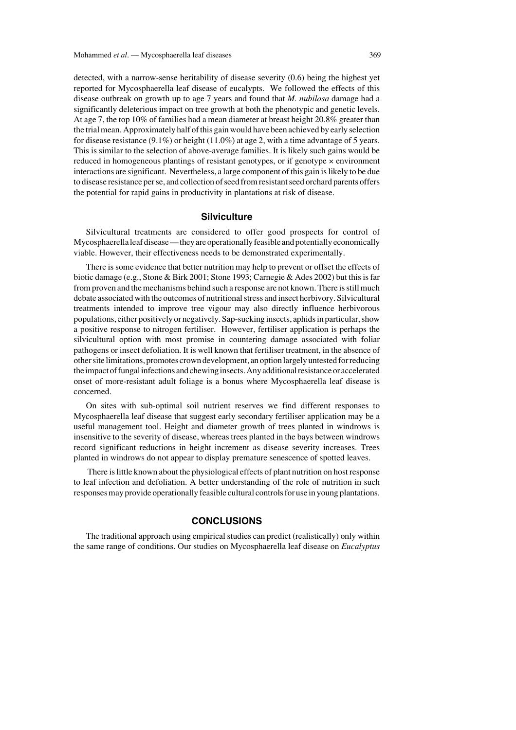detected, with a narrow-sense heritability of disease severity (0.6) being the highest yet reported for Mycosphaerella leaf disease of eucalypts. We followed the effects of this disease outbreak on growth up to age 7 years and found that *M. nubilosa* damage had a significantly deleterious impact on tree growth at both the phenotypic and genetic levels. At age 7, the top 10% of families had a mean diameter at breast height 20.8% greater than the trial mean. Approximately half of this gain would have been achieved by early selection for disease resistance  $(9.1\%)$  or height  $(11.0\%)$  at age 2, with a time advantage of 5 years. This is similar to the selection of above-average families. It is likely such gains would be reduced in homogeneous plantings of resistant genotypes, or if genotype × environment interactions are significant. Nevertheless, a large component of this gain is likely to be due to disease resistance per se, and collection of seed from resistant seed orchard parents offers the potential for rapid gains in productivity in plantations at risk of disease.

# **Silviculture**

Silvicultural treatments are considered to offer good prospects for control of Mycosphaerella leaf disease — they are operationally feasible and potentially economically viable. However, their effectiveness needs to be demonstrated experimentally.

There is some evidence that better nutrition may help to prevent or offset the effects of biotic damage (e.g., Stone & Birk 2001; Stone 1993; Carnegie & Ades 2002) but this is far from proven and the mechanisms behind such a response are not known. There is still much debate associated with the outcomes of nutritional stress and insect herbivory. Silvicultural treatments intended to improve tree vigour may also directly influence herbivorous populations, either positively or negatively. Sap-sucking insects, aphids in particular, show a positive response to nitrogen fertiliser. However, fertiliser application is perhaps the silvicultural option with most promise in countering damage associated with foliar pathogens or insect defoliation. It is well known that fertiliser treatment, in the absence of other site limitations, promotes crown development, an option largely untested for reducing the impact of fungal infections and chewing insects. Any additional resistance or accelerated onset of more-resistant adult foliage is a bonus where Mycosphaerella leaf disease is concerned.

On sites with sub-optimal soil nutrient reserves we find different responses to Mycosphaerella leaf disease that suggest early secondary fertiliser application may be a useful management tool. Height and diameter growth of trees planted in windrows is insensitive to the severity of disease, whereas trees planted in the bays between windrows record significant reductions in height increment as disease severity increases. Trees planted in windrows do not appear to display premature senescence of spotted leaves.

There is little known about the physiological effects of plant nutrition on host response to leaf infection and defoliation. A better understanding of the role of nutrition in such responses may provide operationally feasible cultural controls for use in young plantations.

# **CONCLUSIONS**

The traditional approach using empirical studies can predict (realistically) only within the same range of conditions. Our studies on Mycosphaerella leaf disease on *Eucalyptus*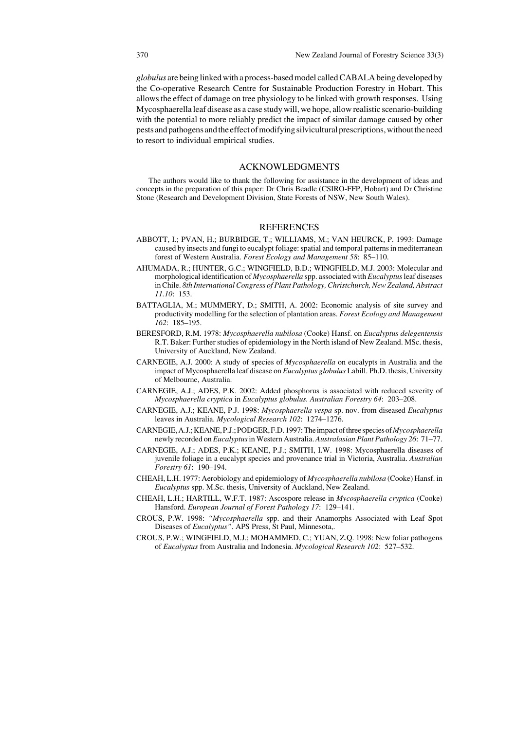*globulus* are being linked with a process-based model called CABALA being developed by the Co-operative Research Centre for Sustainable Production Forestry in Hobart. This allows the effect of damage on tree physiology to be linked with growth responses. Using Mycosphaerella leaf disease as a case study will, we hope, allow realistic scenario-building with the potential to more reliably predict the impact of similar damage caused by other pests and pathogens and the effect of modifying silvicultural prescriptions, without the need to resort to individual empirical studies.

#### ACKNOWLEDGMENTS

The authors would like to thank the following for assistance in the development of ideas and concepts in the preparation of this paper: Dr Chris Beadle (CSIRO-FFP, Hobart) and Dr Christine Stone (Research and Development Division, State Forests of NSW, New South Wales).

#### REFERENCES

- ABBOTT, I.; PVAN, H.; BURBIDGE, T.; WILLIAMS, M.; VAN HEURCK, P. 1993: Damage caused by insects and fungi to eucalypt foliage: spatial and temporal patterns in mediterranean forest of Western Australia. *Forest Ecology and Management 58*: 85–110.
- AHUMADA, R.; HUNTER, G.C.; WINGFIELD, B.D.; WINGFIELD, M.J. 2003: Molecular and morphological identification of *Mycosphaerella* spp. associated with *Eucalyptus* leaf diseases in Chile. *8th International Congress of Plant Pathology, Christchurch, New Zealand, Abstract 11.10*: 153.
- BATTAGLIA, M.; MUMMERY, D.; SMITH, A. 2002: Economic analysis of site survey and productivity modelling for the selection of plantation areas. *Forest Ecology and Management 162*: 185–195.
- BERESFORD, R.M. 1978: *Mycosphaerella nubilosa* (Cooke) Hansf. on *Eucalyptus delegentensis* R.T. Baker: Further studies of epidemiology in the North island of New Zealand. MSc. thesis, University of Auckland, New Zealand.
- CARNEGIE, A.J. 2000: A study of species of *Mycosphaerella* on eucalypts in Australia and the impact of Mycosphaerella leaf disease on *Eucalyptus globulus* Labill. Ph.D. thesis, University of Melbourne, Australia.
- CARNEGIE, A.J.; ADES, P.K. 2002: Added phosphorus is associated with reduced severity of *Mycosphaerella cryptica* in *Eucalyptus globulus. Australian Forestry 64*: 203–208.
- CARNEGIE, A.J.; KEANE, P.J. 1998: *Mycosphaerella vespa* sp. nov. from diseased *Eucalyptus* leaves in Australia. *Mycological Research 102*: 1274–1276.
- CARNEGIE, A.J.; KEANE, P.J.; PODGER, F.D. 1997: The impact of three species of *Mycosphaerella* newly recorded on *Eucalyptus* in Western Australia. *Australasian Plant Pathology 26*: 71–77.
- CARNEGIE, A.J.; ADES, P.K.; KEANE, P.J.; SMITH, I.W. 1998: Mycosphaerella diseases of juvenile foliage in a eucalypt species and provenance trial in Victoria, Australia. *Australian Forestry 61*: 190–194.
- CHEAH, L.H. 1977: Aerobiology and epidemiology of *Mycosphaerella nubilosa* (Cooke) Hansf. in *Eucalyptus* spp. M.Sc. thesis, University of Auckland, New Zealand.
- CHEAH, L.H.; HARTILL, W.F.T. 1987: Ascospore release in *Mycosphaerella cryptica* (Cooke) Hansford. *European Journal of Forest Pathology 17*: 129–141.
- CROUS, P.W. 1998: *"Mycosphaerella* spp. and their Anamorphs Associated with Leaf Spot Diseases of *Eucalyptus"*. APS Press, St Paul, Minnesota,.
- CROUS, P.W.; WINGFIELD, M.J.; MOHAMMED, C.; YUAN, Z.Q. 1998: New foliar pathogens of *Eucalyptus* from Australia and Indonesia. *Mycological Research 102*: 527–532.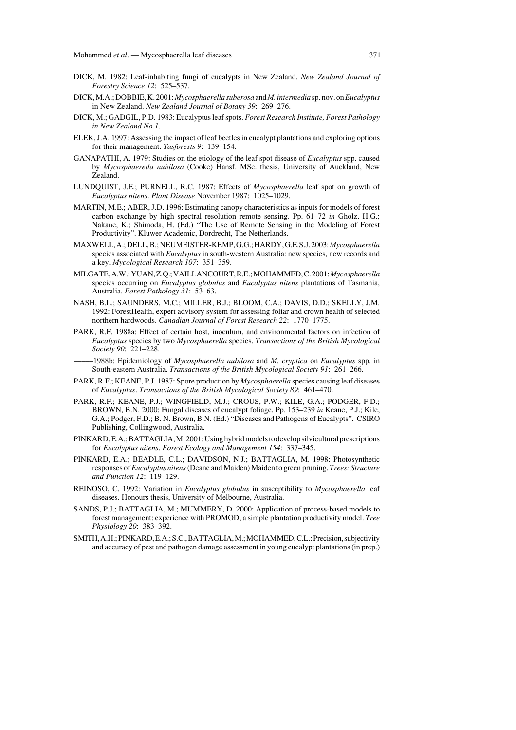- DICK, M. 1982: Leaf-inhabiting fungi of eucalypts in New Zealand. *New Zealand Journal of Forestry Science 12*: 525–537.
- DICK, M.A.; DOBBIE, K. 2001: *Mycosphaerella suberosa* and*M. intermedia* sp. nov. on *Eucalyptus* in New Zealand. *New Zealand Journal of Botany 39*: 269–276.
- DICK, M.; GADGIL, P.D. 1983: Eucalyptus leaf spots. *Forest Research Institute, Forest Pathology in New Zealand No.1*.
- ELEK, J.A. 1997: Assessing the impact of leaf beetles in eucalypt plantations and exploring options for their management. *Tasforests 9*: 139–154.
- GANAPATHI, A. 1979: Studies on the etiology of the leaf spot disease of *Eucalyptus* spp. caused by *Mycosphaerella nubilosa* (Cooke) Hansf. MSc. thesis, University of Auckland, New Zealand.
- LUNDQUIST, J.E.; PURNELL, R.C. 1987: Effects of *Mycosphaerella* leaf spot on growth of *Eucalyptus nitens*. *Plant Disease* November 1987: 1025–1029.
- MARTIN, M.E.; ABER, J.D. 1996: Estimating canopy characteristics as inputs for models of forest carbon exchange by high spectral resolution remote sensing. Pp. 61–72 *in* Gholz, H.G.; Nakane, K.; Shimoda, H. (Ed.) "The Use of Remote Sensing in the Modeling of Forest Productivity". Kluwer Academic, Dordrecht, The Netherlands.
- MAXWELL, A.; DELL, B.; NEUMEISTER-KEMP, G.G.; HARDY, G.E.S.J. 2003: *Mycosphaerella* species associated with *Eucalyptus* in south-western Australia: new species, new records and a key. *Mycological Research 107*: 351–359.
- MILGATE, A.W.; YUAN, Z.Q.; VAILLANCOURT, R.E.; MOHAMMED, C. 2001: *Mycosphaerella* species occurring on *Eucalyptus globulus* and *Eucalyptus nitens* plantations of Tasmania, Australia. *Forest Pathology 31*: 53–63.
- NASH, B.L.; SAUNDERS, M.C.; MILLER, B.J.; BLOOM, C.A.; DAVIS, D.D.; SKELLY, J.M. 1992: ForestHealth, expert advisory system for assessing foliar and crown health of selected northern hardwoods. *Canadian Journal of Forest Research 22*: 1770–1775.
- PARK, R.F. 1988a: Effect of certain host, inoculum, and environmental factors on infection of *Eucalyptus* species by two *Mycosphaerella* species. *Transactions of the British Mycological Society 90*: 221–228.
- –––––1988b: Epidemiology of *Mycosphaerella nubilosa* and *M. cryptica* on *Eucalyptus* spp. in South-eastern Australia. *Transactions of the British Mycological Society 91*: 261–266.
- PARK, R.F.; KEANE, P.J. 1987: Spore production by *Mycosphaerella* species causing leaf diseases of *Eucalyptus*. *Transactions of the British Mycological Society 89*: 461–470.
- PARK, R.F.; KEANE, P.J.; WINGFIELD, M.J.; CROUS, P.W.; KILE, G.A.; PODGER, F.D.; BROWN, B.N. 2000: Fungal diseases of eucalypt foliage. Pp. 153–239 *in* Keane, P.J.; Kile, G.A.; Podger, F.D.; B. N. Brown, B.N. (Ed.) "Diseases and Pathogens of Eucalypts". CSIRO Publishing, Collingwood, Australia.
- PINKARD, E.A.; BATTAGLIA, M. 2001: Using hybrid models to develop silvicultural prescriptions for *Eucalyptus nitens*. *Forest Ecology and Management 154*: 337–345.
- PINKARD, E.A.; BEADLE, C.L.; DAVIDSON, N.J.; BATTAGLIA, M. 1998: Photosynthetic responses of *Eucalyptus nitens*(Deane and Maiden) Maiden to green pruning. *Trees: Structure and Function 12*: 119–129.
- REINOSO, C. 1992: Variation in *Eucalyptus globulus* in susceptibility to *Mycosphaerella* leaf diseases. Honours thesis, University of Melbourne, Australia.
- SANDS, P.J.; BATTAGLIA, M.; MUMMERY, D. 2000: Application of process-based models to forest management: experience with PROMOD, a simple plantation productivity model. *Tree Physiology 20*: 383–392.
- SMITH, A.H.; PINKARD, E.A.; S.C., BATTAGLIA, M.; MOHAMMED, C.L.: Precision, subjectivity and accuracy of pest and pathogen damage assessment in young eucalypt plantations (in prep.)